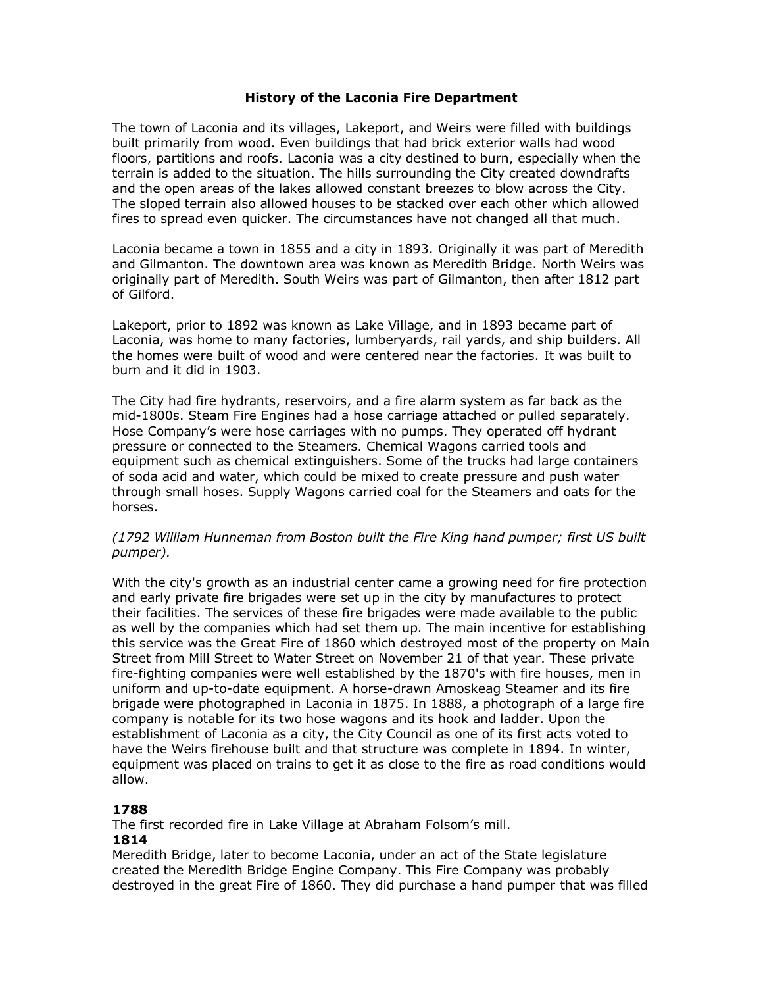## **History of the Laconia Fire Department**

The town of Laconia and its villages, Lakeport, and Weirs were filled with buildings built primarily from wood. Even buildings that had brick exterior walls had wood floors, partitions and roofs. Laconia was a city destined to burn, especially when the terrain is added to the situation. The hills surrounding the City created downdrafts and the open areas of the lakes allowed constant breezes to blow across the City. The sloped terrain also allowed houses to be stacked over each other which allowed fires to spread even quicker. The circumstances have not changed all that much.

Laconia became a town in 1855 and a city in 1893. Originally it was part of Meredith and Gilmanton. The downtown area was known as Meredith Bridge. North Weirs was originally part of Meredith. South Weirs was part of Gilmanton, then after 1812 part of Gilford.

Lakeport, prior to 1892 was known as Lake Village, and in 1893 became part of Laconia, was home to many factories, lumberyards, rail yards, and ship builders. All the homes were built of wood and were centered near the factories. It was built to burn and it did in 1903.

The City had fire hydrants, reservoirs, and a fire alarm system as far back as the mid-1800s. Steam Fire Engines had a hose carriage attached or pulled separately. Hose Company's were hose carriages with no pumps. They operated off hydrant pressure or connected to the Steamers. Chemical Wagons carried tools and equipment such as chemical extinguishers. Some of the trucks had large containers of soda acid and water, which could be mixed to create pressure and push water through small hoses. Supply Wagons carried coal for the Steamers and oats for the horses.

## *(1792 William Hunneman from Boston built the Fire King hand pumper; first US built pumper).*

With the city's growth as an industrial center came a growing need for fire protection and early private fire brigades were set up in the city by manufactures to protect their facilities. The services of these fire brigades were made available to the public as well by the companies which had set them up. The main incentive for establishing this service was the Great Fire of 1860 which destroyed most of the property on Main Street from Mill Street to Water Street on November 21 of that year. These private fire-fighting companies were well established by the 1870's with fire houses, men in uniform and up-to-date equipment. A horse-drawn Amoskeag Steamer and its fire brigade were photographed in Laconia in 1875. In 1888, a photograph of a large fire company is notable for its two hose wagons and its hook and ladder. Upon the establishment of Laconia as a city, the City Council as one of its first acts voted to have the Weirs firehouse built and that structure was complete in 1894. In winter, equipment was placed on trains to get it as close to the fire as road conditions would allow.

## **1788**

The first recorded fire in Lake Village at Abraham Folsom's mill.

#### **1814**

Meredith Bridge, later to become Laconia, under an act of the State legislature created the Meredith Bridge Engine Company. This Fire Company was probably destroyed in the great Fire of 1860. They did purchase a hand pumper that was filled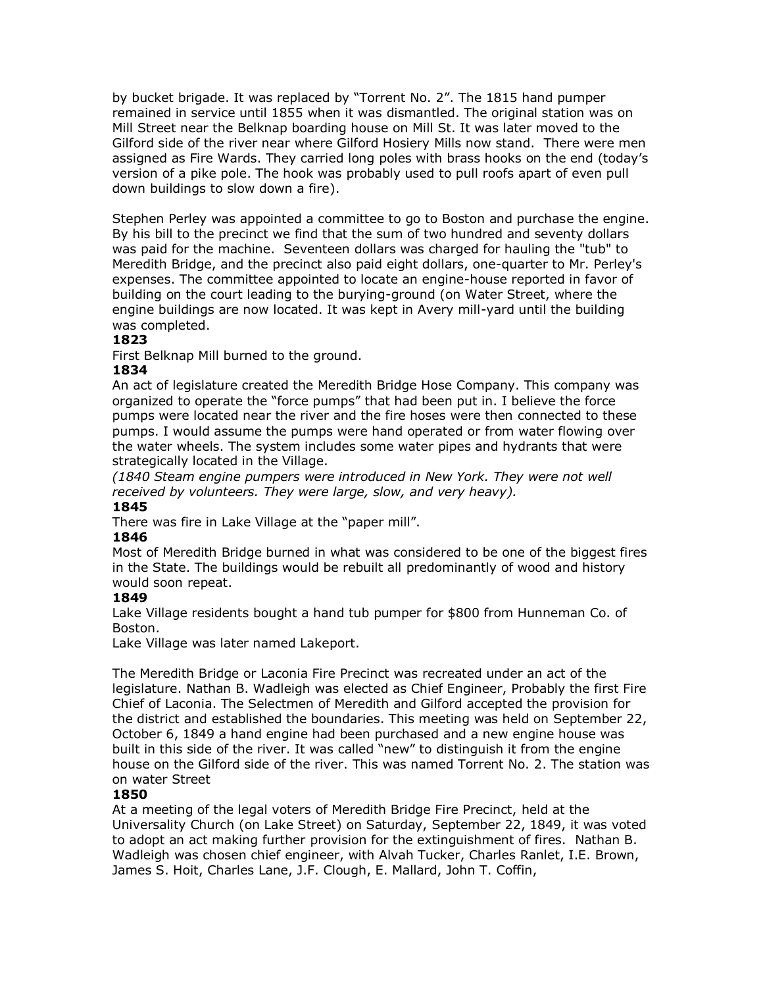by bucket brigade. It was replaced by "Torrent No. 2". The 1815 hand pumper remained in service until 1855 when it was dismantled. The original station was on Mill Street near the Belknap boarding house on Mill St. It was later moved to the Gilford side of the river near where Gilford Hosiery Mills now stand. There were men assigned as Fire Wards. They carried long poles with brass hooks on the end (today's version of a pike pole. The hook was probably used to pull roofs apart of even pull down buildings to slow down a fire).

Stephen Perley was appointed a committee to go to Boston and purchase the engine. By his bill to the precinct we find that the sum of two hundred and seventy dollars was paid for the machine. Seventeen dollars was charged for hauling the "tub" to Meredith Bridge, and the precinct also paid eight dollars, one-quarter to Mr. Perley's expenses. The committee appointed to locate an engine-house reported in favor of building on the court leading to the burying-ground (on Water Street, where the engine buildings are now located. It was kept in Avery mill-yard until the building was completed.

## **1823**

First Belknap Mill burned to the ground.

#### **1834**

An act of legislature created the Meredith Bridge Hose Company. This company was organized to operate the "force pumps" that had been put in. I believe the force pumps were located near the river and the fire hoses were then connected to these pumps. I would assume the pumps were hand operated or from water flowing over the water wheels. The system includes some water pipes and hydrants that were strategically located in the Village.

*(1840 Steam engine pumpers were introduced in New York. They were not well received by volunteers. They were large, slow, and very heavy).* 

#### **1845**

There was fire in Lake Village at the "paper mill".

#### **1846**

Most of Meredith Bridge burned in what was considered to be one of the biggest fires in the State. The buildings would be rebuilt all predominantly of wood and history would soon repeat.

#### **1849**

Lake Village residents bought a hand tub pumper for \$800 from Hunneman Co. of Boston.

Lake Village was later named Lakeport.

The Meredith Bridge or Laconia Fire Precinct was recreated under an act of the legislature. Nathan B. Wadleigh was elected as Chief Engineer, Probably the first Fire Chief of Laconia. The Selectmen of Meredith and Gilford accepted the provision for the district and established the boundaries. This meeting was held on September 22, October 6, 1849 a hand engine had been purchased and a new engine house was built in this side of the river. It was called "new" to distinguish it from the engine house on the Gilford side of the river. This was named Torrent No. 2. The station was on water Street

## **1850**

At a meeting of the legal voters of Meredith Bridge Fire Precinct, held at the Universality Church (on Lake Street) on Saturday, September 22, 1849, it was voted to adopt an act making further provision for the extinguishment of fires. Nathan B. Wadleigh was chosen chief engineer, with Alvah Tucker, Charles Ranlet, I.E. Brown, James S. Hoit, Charles Lane, J.F. Clough, E. Mallard, John T. Coffin,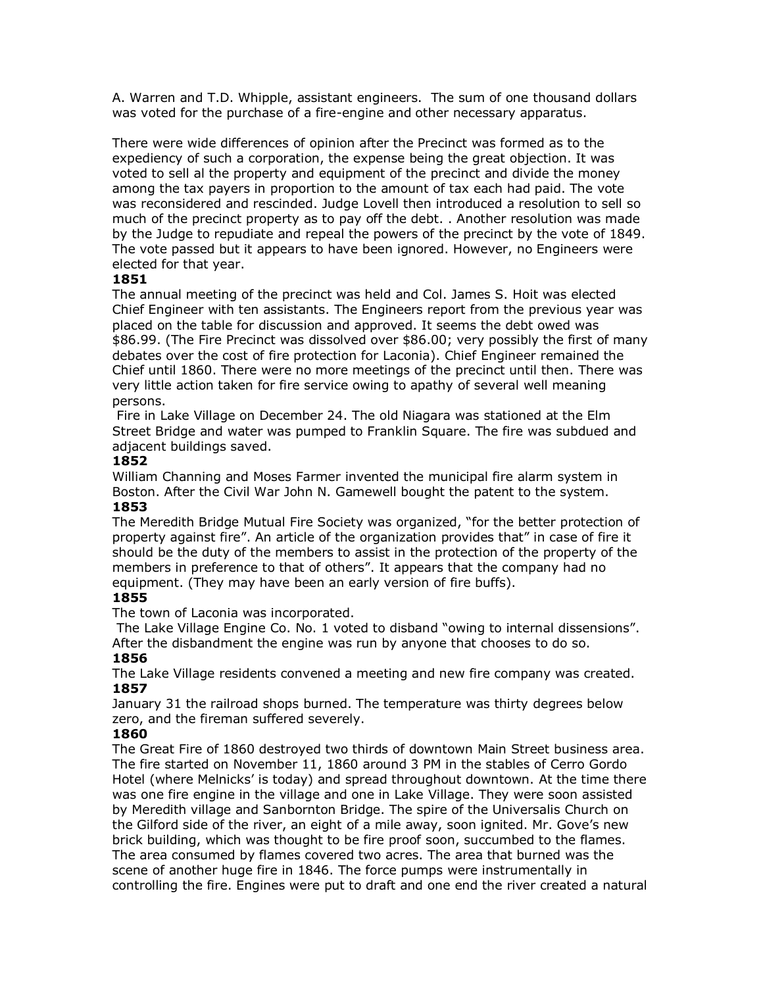A. Warren and T.D. Whipple, assistant engineers. The sum of one thousand dollars was voted for the purchase of a fire-engine and other necessary apparatus.

There were wide differences of opinion after the Precinct was formed as to the expediency of such a corporation, the expense being the great objection. It was voted to sell al the property and equipment of the precinct and divide the money among the tax payers in proportion to the amount of tax each had paid. The vote was reconsidered and rescinded. Judge Lovell then introduced a resolution to sell so much of the precinct property as to pay off the debt. . Another resolution was made by the Judge to repudiate and repeal the powers of the precinct by the vote of 1849. The vote passed but it appears to have been ignored. However, no Engineers were elected for that year.

## **1851**

The annual meeting of the precinct was held and Col. James S. Hoit was elected Chief Engineer with ten assistants. The Engineers report from the previous year was placed on the table for discussion and approved. It seems the debt owed was \$86.99. (The Fire Precinct was dissolved over \$86.00; very possibly the first of many debates over the cost of fire protection for Laconia). Chief Engineer remained the Chief until 1860. There were no more meetings of the precinct until then. There was very little action taken for fire service owing to apathy of several well meaning persons.

Fire in Lake Village on December 24. The old Niagara was stationed at the Elm Street Bridge and water was pumped to Franklin Square. The fire was subdued and adjacent buildings saved.

## **1852**

William Channing and Moses Farmer invented the municipal fire alarm system in Boston. After the Civil War John N. Gamewell bought the patent to the system. **1853**

The Meredith Bridge Mutual Fire Society was organized, "for the better protection of property against fire". An article of the organization provides that" in case of fire it should be the duty of the members to assist in the protection of the property of the members in preference to that of others". It appears that the company had no equipment. (They may have been an early version of fire buffs).

## **1855**

The town of Laconia was incorporated.

The Lake Village Engine Co. No. 1 voted to disband "owing to internal dissensions". After the disbandment the engine was run by anyone that chooses to do so. **1856**

The Lake Village residents convened a meeting and new fire company was created. **1857**

January 31 the railroad shops burned. The temperature was thirty degrees below zero, and the fireman suffered severely.

## **1860**

The Great Fire of 1860 destroyed two thirds of downtown Main Street business area. The fire started on November 11, 1860 around 3 PM in the stables of Cerro Gordo Hotel (where Melnicks' is today) and spread throughout downtown. At the time there was one fire engine in the village and one in Lake Village. They were soon assisted by Meredith village and Sanbornton Bridge. The spire of the Universalis Church on the Gilford side of the river, an eight of a mile away, soon ignited. Mr. Gove's new brick building, which was thought to be fire proof soon, succumbed to the flames. The area consumed by flames covered two acres. The area that burned was the scene of another huge fire in 1846. The force pumps were instrumentally in controlling the fire. Engines were put to draft and one end the river created a natural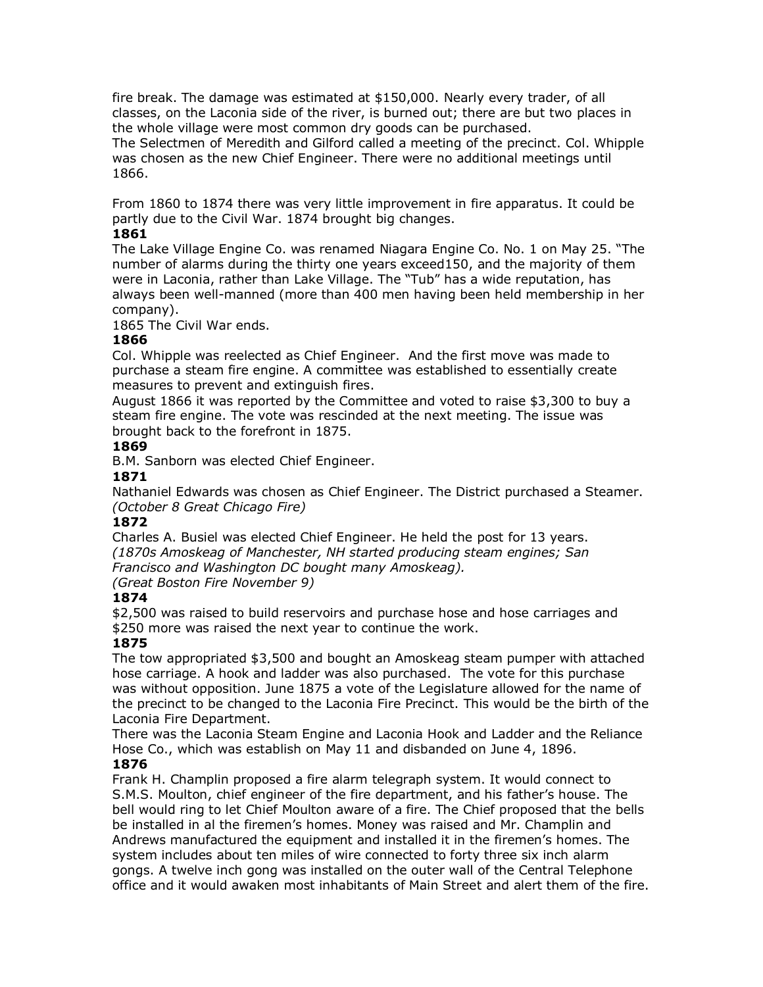fire break. The damage was estimated at \$150,000. Nearly every trader, of all classes, on the Laconia side of the river, is burned out; there are but two places in the whole village were most common dry goods can be purchased.

The Selectmen of Meredith and Gilford called a meeting of the precinct. Col. Whipple was chosen as the new Chief Engineer. There were no additional meetings until 1866.

From 1860 to 1874 there was very little improvement in fire apparatus. It could be partly due to the Civil War. 1874 brought big changes.

## **1861**

The Lake Village Engine Co. was renamed Niagara Engine Co. No. 1 on May 25. "The number of alarms during the thirty one years exceed150, and the majority of them were in Laconia, rather than Lake Village. The "Tub" has a wide reputation, has always been well-manned (more than 400 men having been held membership in her company).

1865 The Civil War ends.

## **1866**

Col. Whipple was reelected as Chief Engineer. And the first move was made to purchase a steam fire engine. A committee was established to essentially create measures to prevent and extinguish fires.

August 1866 it was reported by the Committee and voted to raise \$3,300 to buy a steam fire engine. The vote was rescinded at the next meeting. The issue was brought back to the forefront in 1875.

## **1869**

B.M. Sanborn was elected Chief Engineer.

## **1871**

Nathaniel Edwards was chosen as Chief Engineer. The District purchased a Steamer. *(October 8 Great Chicago Fire)*

## **1872**

Charles A. Busiel was elected Chief Engineer. He held the post for 13 years. *(1870s Amoskeag of Manchester, NH started producing steam engines; San Francisco and Washington DC bought many Amoskeag).* 

*(Great Boston Fire November 9)*

## **1874**

\$2,500 was raised to build reservoirs and purchase hose and hose carriages and \$250 more was raised the next year to continue the work.

## **1875**

The tow appropriated \$3,500 and bought an Amoskeag steam pumper with attached hose carriage. A hook and ladder was also purchased. The vote for this purchase was without opposition. June 1875 a vote of the Legislature allowed for the name of the precinct to be changed to the Laconia Fire Precinct. This would be the birth of the Laconia Fire Department.

There was the Laconia Steam Engine and Laconia Hook and Ladder and the Reliance Hose Co., which was establish on May 11 and disbanded on June 4, 1896. **1876**

Frank H. Champlin proposed a fire alarm telegraph system. It would connect to S.M.S. Moulton, chief engineer of the fire department, and his father's house. The bell would ring to let Chief Moulton aware of a fire. The Chief proposed that the bells be installed in al the firemen's homes. Money was raised and Mr. Champlin and Andrews manufactured the equipment and installed it in the firemen's homes. The system includes about ten miles of wire connected to forty three six inch alarm gongs. A twelve inch gong was installed on the outer wall of the Central Telephone office and it would awaken most inhabitants of Main Street and alert them of the fire.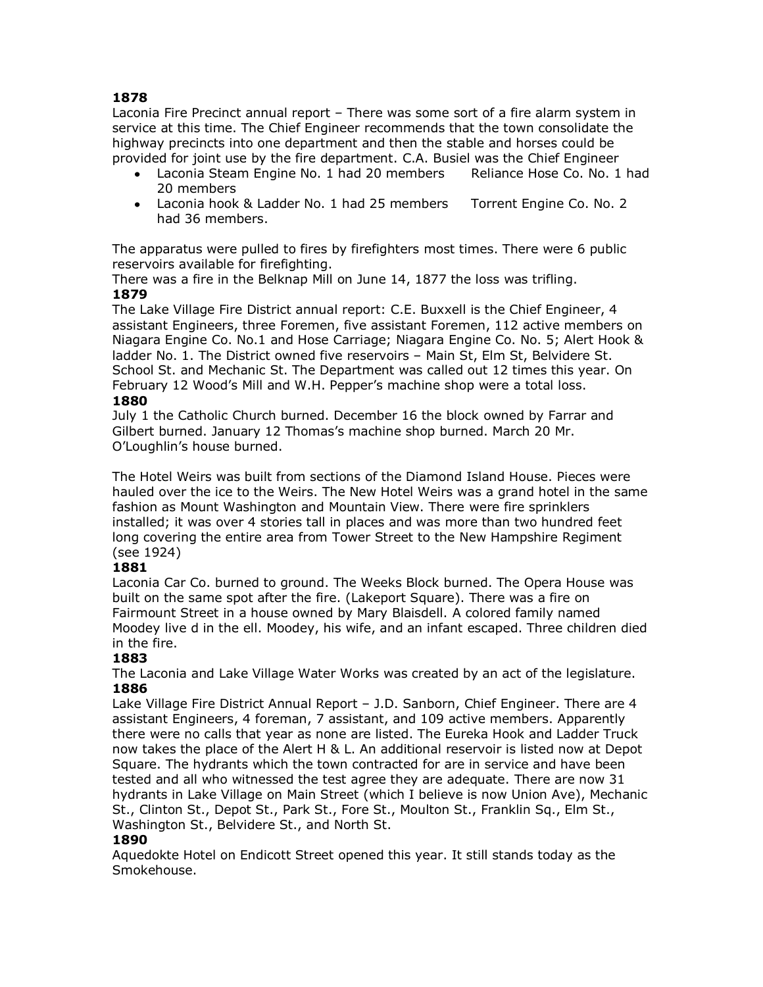Laconia Fire Precinct annual report – There was some sort of a fire alarm system in service at this time. The Chief Engineer recommends that the town consolidate the highway precincts into one department and then the stable and horses could be provided for joint use by the fire department. C.A. Busiel was the Chief Engineer

- Laconia Steam Engine No. 1 had 20 members Reliance Hose Co. No. 1 had 20 members
- Laconia hook & Ladder No. 1 had 25 members Torrent Engine Co. No. 2 had 36 members.

The apparatus were pulled to fires by firefighters most times. There were 6 public reservoirs available for firefighting.

There was a fire in the Belknap Mill on June 14, 1877 the loss was trifling.

## **1879**

The Lake Village Fire District annual report: C.E. Buxxell is the Chief Engineer, 4 assistant Engineers, three Foremen, five assistant Foremen, 112 active members on Niagara Engine Co. No.1 and Hose Carriage; Niagara Engine Co. No. 5; Alert Hook & ladder No. 1. The District owned five reservoirs – Main St, Elm St, Belvidere St. School St. and Mechanic St. The Department was called out 12 times this year. On February 12 Wood's Mill and W.H. Pepper's machine shop were a total loss.

## **1880**

July 1 the Catholic Church burned. December 16 the block owned by Farrar and Gilbert burned. January 12 Thomas's machine shop burned. March 20 Mr. O'Loughlin's house burned.

The Hotel Weirs was built from sections of the Diamond Island House. Pieces were hauled over the ice to the Weirs. The New Hotel Weirs was a grand hotel in the same fashion as Mount Washington and Mountain View. There were fire sprinklers installed; it was over 4 stories tall in places and was more than two hundred feet long covering the entire area from Tower Street to the New Hampshire Regiment (see 1924)

## **1881**

Laconia Car Co. burned to ground. The Weeks Block burned. The Opera House was built on the same spot after the fire. (Lakeport Square). There was a fire on Fairmount Street in a house owned by Mary Blaisdell. A colored family named Moodey live d in the ell. Moodey, his wife, and an infant escaped. Three children died in the fire.

## **1883**

The Laconia and Lake Village Water Works was created by an act of the legislature. **1886**

Lake Village Fire District Annual Report – J.D. Sanborn, Chief Engineer. There are 4 assistant Engineers, 4 foreman, 7 assistant, and 109 active members. Apparently there were no calls that year as none are listed. The Eureka Hook and Ladder Truck now takes the place of the Alert H & L. An additional reservoir is listed now at Depot Square. The hydrants which the town contracted for are in service and have been tested and all who witnessed the test agree they are adequate. There are now 31 hydrants in Lake Village on Main Street (which I believe is now Union Ave), Mechanic St., Clinton St., Depot St., Park St., Fore St., Moulton St., Franklin Sq., Elm St., Washington St., Belvidere St., and North St.

## **1890**

Aquedokte Hotel on Endicott Street opened this year. It still stands today as the Smokehouse.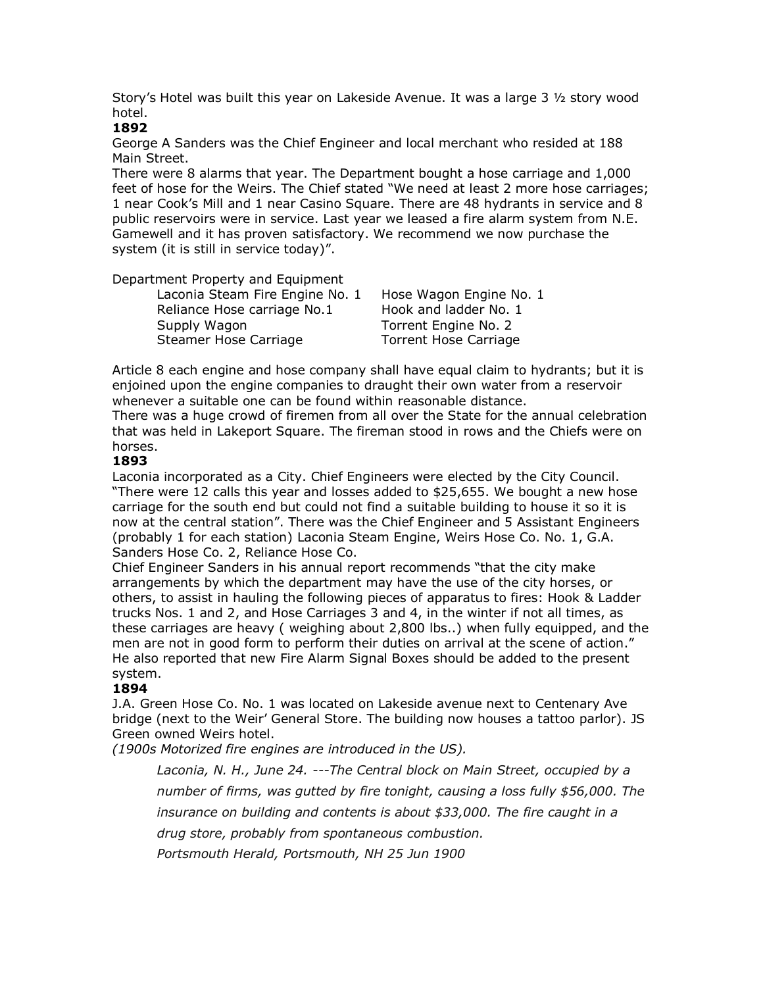Story's Hotel was built this year on Lakeside Avenue. It was a large 3 ½ story wood hotel.

#### **1892**

George A Sanders was the Chief Engineer and local merchant who resided at 188 Main Street.

There were 8 alarms that year. The Department bought a hose carriage and 1,000 feet of hose for the Weirs. The Chief stated "We need at least 2 more hose carriages; 1 near Cook's Mill and 1 near Casino Square. There are 48 hydrants in service and 8 public reservoirs were in service. Last year we leased a fire alarm system from N.E. Gamewell and it has proven satisfactory. We recommend we now purchase the system (it is still in service today)".

Department Property and Equipment

| Laconia Steam Fire Engine No. 1 | Hose M  |
|---------------------------------|---------|
| Reliance Hose carriage No.1     | Hook a  |
| Supply Wagon                    | Torrent |
| Steamer Hose Carriage           | Torrent |

Vagon Engine No. 1 nd ladder No. 1 t Engine No. 2 t Hose Carriage

Article 8 each engine and hose company shall have equal claim to hydrants; but it is enjoined upon the engine companies to draught their own water from a reservoir whenever a suitable one can be found within reasonable distance.

There was a huge crowd of firemen from all over the State for the annual celebration that was held in Lakeport Square. The fireman stood in rows and the Chiefs were on horses.

## **1893**

Laconia incorporated as a City. Chief Engineers were elected by the City Council. "There were 12 calls this year and losses added to \$25,655. We bought a new hose carriage for the south end but could not find a suitable building to house it so it is now at the central station". There was the Chief Engineer and 5 Assistant Engineers (probably 1 for each station) Laconia Steam Engine, Weirs Hose Co. No. 1, G.A. Sanders Hose Co. 2, Reliance Hose Co.

Chief Engineer Sanders in his annual report recommends "that the city make arrangements by which the department may have the use of the city horses, or others, to assist in hauling the following pieces of apparatus to fires: Hook & Ladder trucks Nos. 1 and 2, and Hose Carriages 3 and 4, in the winter if not all times, as these carriages are heavy ( weighing about 2,800 lbs..) when fully equipped, and the men are not in good form to perform their duties on arrival at the scene of action." He also reported that new Fire Alarm Signal Boxes should be added to the present system.

## **1894**

J.A. Green Hose Co. No. 1 was located on Lakeside avenue next to Centenary Ave bridge (next to the Weir' General Store. The building now houses a tattoo parlor). JS Green owned Weirs hotel.

*(1900s Motorized fire engines are introduced in the US).*

*Laconia, N. H., June 24. ---The Central block on Main Street, occupied by a number of firms, was gutted by fire tonight, causing a loss fully \$56,000. The insurance on building and contents is about \$33,000. The fire caught in a drug store, probably from spontaneous combustion.*

*Portsmouth Herald, Portsmouth, NH 25 Jun 1900*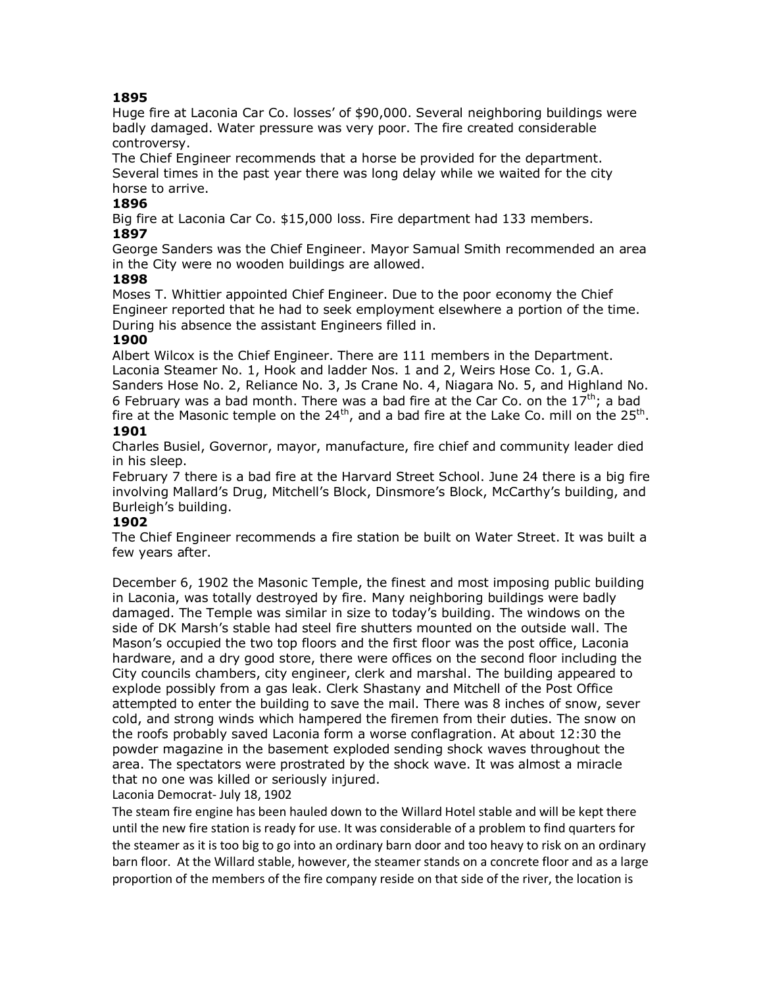Huge fire at Laconia Car Co. losses' of \$90,000. Several neighboring buildings were badly damaged. Water pressure was very poor. The fire created considerable controversy.

The Chief Engineer recommends that a horse be provided for the department. Several times in the past year there was long delay while we waited for the city horse to arrive.

## **1896**

Big fire at Laconia Car Co. \$15,000 loss. Fire department had 133 members.

## **1897**

George Sanders was the Chief Engineer. Mayor Samual Smith recommended an area in the City were no wooden buildings are allowed.

## **1898**

Moses T. Whittier appointed Chief Engineer. Due to the poor economy the Chief Engineer reported that he had to seek employment elsewhere a portion of the time. During his absence the assistant Engineers filled in.

## **1900**

Albert Wilcox is the Chief Engineer. There are 111 members in the Department. Laconia Steamer No. 1, Hook and ladder Nos. 1 and 2, Weirs Hose Co. 1, G.A.

Sanders Hose No. 2, Reliance No. 3, Js Crane No. 4, Niagara No. 5, and Highland No. 6 February was a bad month. There was a bad fire at the Car Co. on the  $17^{th}$ ; a bad fire at the Masonic temple on the  $24^{th}$ , and a bad fire at the Lake Co. mill on the  $25^{th}$ .

## **1901**

Charles Busiel, Governor, mayor, manufacture, fire chief and community leader died in his sleep.

February 7 there is a bad fire at the Harvard Street School. June 24 there is a big fire involving Mallard's Drug, Mitchell's Block, Dinsmore's Block, McCarthy's building, and Burleigh's building.

## **1902**

The Chief Engineer recommends a fire station be built on Water Street. It was built a few years after.

December 6, 1902 the Masonic Temple, the finest and most imposing public building in Laconia, was totally destroyed by fire. Many neighboring buildings were badly damaged. The Temple was similar in size to today's building. The windows on the side of DK Marsh's stable had steel fire shutters mounted on the outside wall. The Mason's occupied the two top floors and the first floor was the post office, Laconia hardware, and a dry good store, there were offices on the second floor including the City councils chambers, city engineer, clerk and marshal. The building appeared to explode possibly from a gas leak. Clerk Shastany and Mitchell of the Post Office attempted to enter the building to save the mail. There was 8 inches of snow, sever cold, and strong winds which hampered the firemen from their duties. The snow on the roofs probably saved Laconia form a worse conflagration. At about 12:30 the powder magazine in the basement exploded sending shock waves throughout the area. The spectators were prostrated by the shock wave. It was almost a miracle that no one was killed or seriously injured. Laconia Democrat- July 18, 1902

The steam fire engine has been hauled down to the Willard Hotel stable and will be kept there until the new fire station is ready for use. It was considerable of a problem to find quarters for the steamer as it is too big to go into an ordinary barn door and too heavy to risk on an ordinary barn floor. At the Willard stable, however, the steamer stands on a concrete floor and as a large proportion of the members of the fire company reside on that side of the river, the location is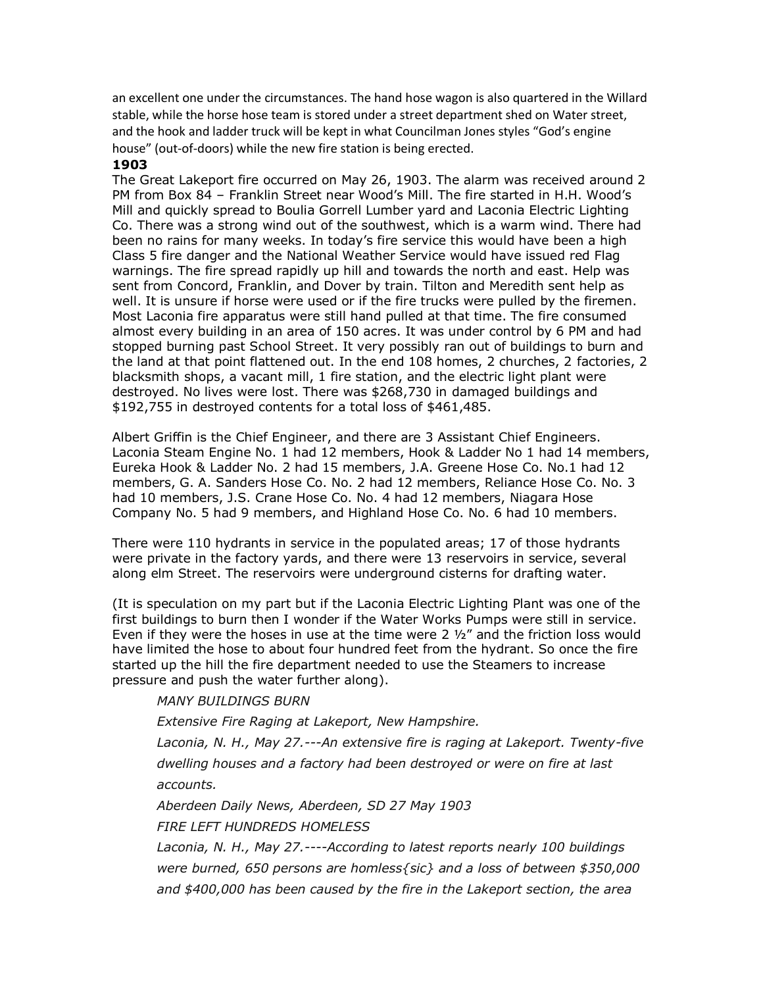an excellent one under the circumstances. The hand hose wagon is also quartered in the Willard stable, while the horse hose team is stored under a street department shed on Water street, and the hook and ladder truck will be kept in what Councilman Jones styles "God's engine house" (out-of-doors) while the new fire station is being erected.

#### **1903**

The Great Lakeport fire occurred on May 26, 1903. The alarm was received around 2 PM from Box 84 – Franklin Street near Wood's Mill. The fire started in H.H. Wood's Mill and quickly spread to Boulia Gorrell Lumber yard and Laconia Electric Lighting Co. There was a strong wind out of the southwest, which is a warm wind. There had been no rains for many weeks. In today's fire service this would have been a high Class 5 fire danger and the National Weather Service would have issued red Flag warnings. The fire spread rapidly up hill and towards the north and east. Help was sent from Concord, Franklin, and Dover by train. Tilton and Meredith sent help as well. It is unsure if horse were used or if the fire trucks were pulled by the firemen. Most Laconia fire apparatus were still hand pulled at that time. The fire consumed almost every building in an area of 150 acres. It was under control by 6 PM and had stopped burning past School Street. It very possibly ran out of buildings to burn and the land at that point flattened out. In the end 108 homes, 2 churches, 2 factories, 2 blacksmith shops, a vacant mill, 1 fire station, and the electric light plant were destroyed. No lives were lost. There was \$268,730 in damaged buildings and \$192,755 in destroyed contents for a total loss of \$461,485.

Albert Griffin is the Chief Engineer, and there are 3 Assistant Chief Engineers. Laconia Steam Engine No. 1 had 12 members, Hook & Ladder No 1 had 14 members, Eureka Hook & Ladder No. 2 had 15 members, J.A. Greene Hose Co. No.1 had 12 members, G. A. Sanders Hose Co. No. 2 had 12 members, Reliance Hose Co. No. 3 had 10 members, J.S. Crane Hose Co. No. 4 had 12 members, Niagara Hose Company No. 5 had 9 members, and Highland Hose Co. No. 6 had 10 members.

There were 110 hydrants in service in the populated areas; 17 of those hydrants were private in the factory yards, and there were 13 reservoirs in service, several along elm Street. The reservoirs were underground cisterns for drafting water.

(It is speculation on my part but if the Laconia Electric Lighting Plant was one of the first buildings to burn then I wonder if the Water Works Pumps were still in service. Even if they were the hoses in use at the time were 2  $\frac{1}{2}$  and the friction loss would have limited the hose to about four hundred feet from the hydrant. So once the fire started up the hill the fire department needed to use the Steamers to increase pressure and push the water further along).

## *MANY BUILDINGS BURN*

*Extensive Fire Raging at Lakeport, New Hampshire.*

*Laconia, N. H., May 27.---An extensive fire is raging at Lakeport. Twenty-five dwelling houses and a factory had been destroyed or were on fire at last accounts.*

*Aberdeen Daily News, Aberdeen, SD 27 May 1903*

*FIRE LEFT HUNDREDS HOMELESS*

*Laconia, N. H., May 27.----According to latest reports nearly 100 buildings were burned, 650 persons are homless{sic} and a loss of between \$350,000 and \$400,000 has been caused by the fire in the Lakeport section, the area*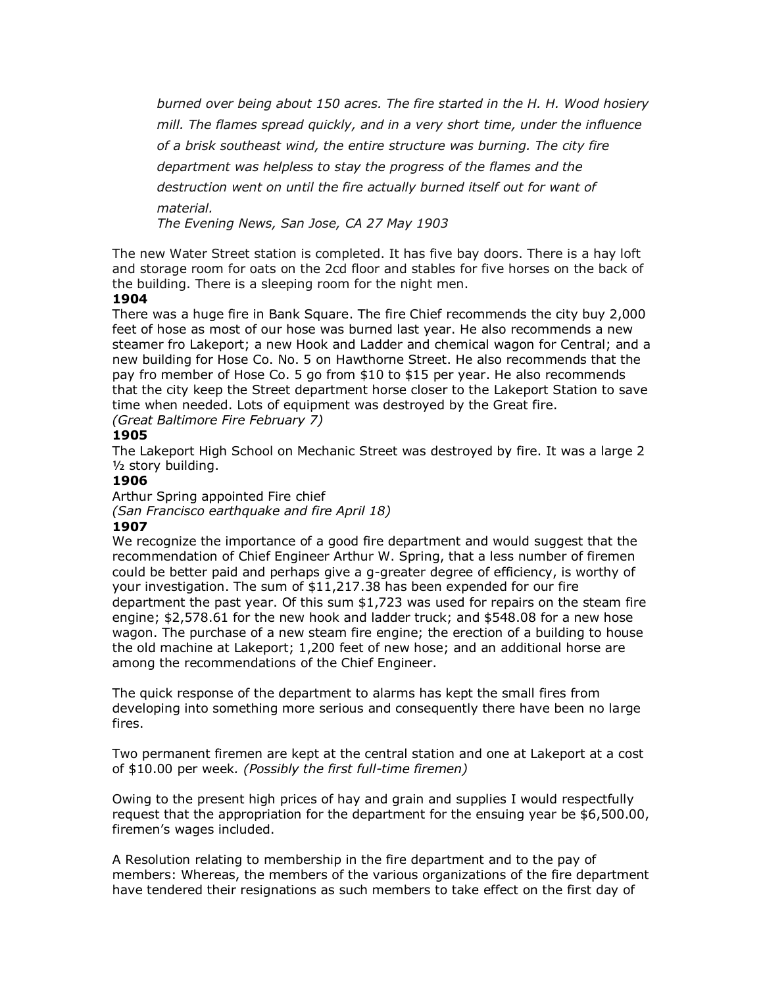*burned over being about 150 acres. The fire started in the H. H. Wood hosiery mill. The flames spread quickly, and in a very short time, under the influence of a brisk southeast wind, the entire structure was burning. The city fire department was helpless to stay the progress of the flames and the destruction went on until the fire actually burned itself out for want of material.* 

*The Evening News, San Jose, CA 27 May 1903*

The new Water Street station is completed. It has five bay doors. There is a hay loft and storage room for oats on the 2cd floor and stables for five horses on the back of the building. There is a sleeping room for the night men.

#### **1904**

There was a huge fire in Bank Square. The fire Chief recommends the city buy 2,000 feet of hose as most of our hose was burned last year. He also recommends a new steamer fro Lakeport; a new Hook and Ladder and chemical wagon for Central; and a new building for Hose Co. No. 5 on Hawthorne Street. He also recommends that the pay fro member of Hose Co. 5 go from \$10 to \$15 per year. He also recommends that the city keep the Street department horse closer to the Lakeport Station to save time when needed. Lots of equipment was destroyed by the Great fire. *(Great Baltimore Fire February 7)*

#### **1905**

The Lakeport High School on Mechanic Street was destroyed by fire. It was a large 2 ½ story building.

## **1906**

Arthur Spring appointed Fire chief *(San Francisco earthquake and fire April 18)* **1907**

We recognize the importance of a good fire department and would suggest that the recommendation of Chief Engineer Arthur W. Spring, that a less number of firemen could be better paid and perhaps give a g-greater degree of efficiency, is worthy of your investigation. The sum of \$11,217.38 has been expended for our fire department the past year. Of this sum \$1,723 was used for repairs on the steam fire engine; \$2,578.61 for the new hook and ladder truck; and \$548.08 for a new hose wagon. The purchase of a new steam fire engine; the erection of a building to house the old machine at Lakeport; 1,200 feet of new hose; and an additional horse are among the recommendations of the Chief Engineer.

The quick response of the department to alarms has kept the small fires from developing into something more serious and consequently there have been no large fires.

Two permanent firemen are kept at the central station and one at Lakeport at a cost of \$10.00 per week*. (Possibly the first full-time firemen)*

Owing to the present high prices of hay and grain and supplies I would respectfully request that the appropriation for the department for the ensuing year be \$6,500.00, firemen's wages included.

A Resolution relating to membership in the fire department and to the pay of members: Whereas, the members of the various organizations of the fire department have tendered their resignations as such members to take effect on the first day of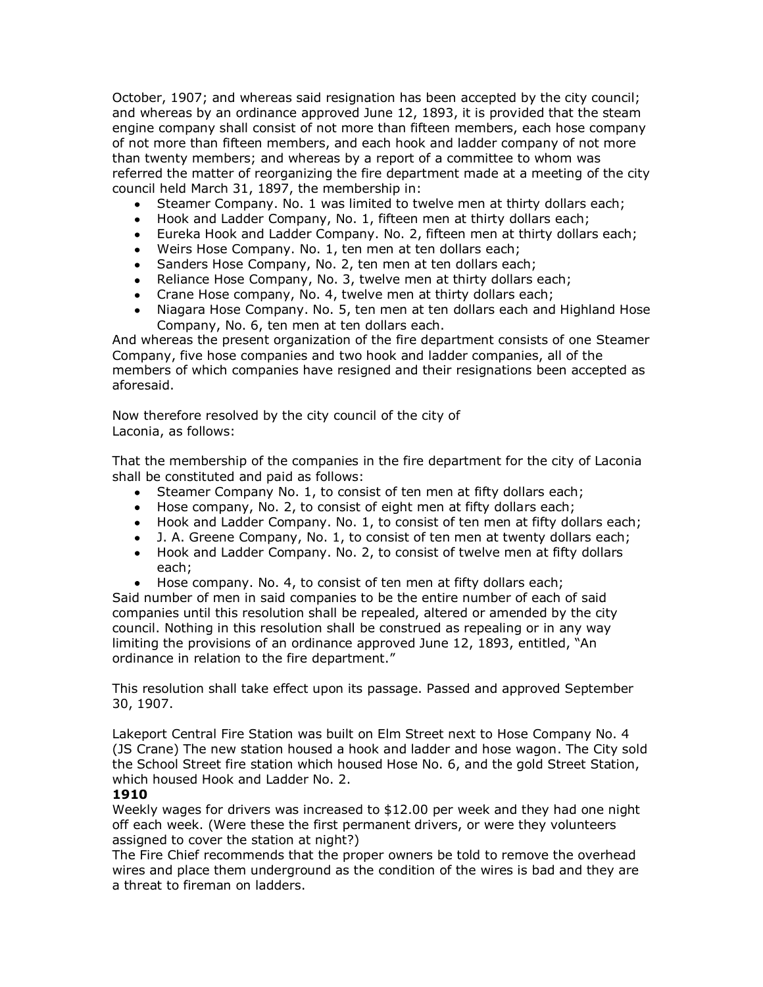October, 1907; and whereas said resignation has been accepted by the city council; and whereas by an ordinance approved June 12, 1893, it is provided that the steam engine company shall consist of not more than fifteen members, each hose company of not more than fifteen members, and each hook and ladder company of not more than twenty members; and whereas by a report of a committee to whom was referred the matter of reorganizing the fire department made at a meeting of the city council held March 31, 1897, the membership in:

- Steamer Company. No. 1 was limited to twelve men at thirty dollars each;
- Hook and Ladder Company, No. 1, fifteen men at thirty dollars each;
- Eureka Hook and Ladder Company. No. 2, fifteen men at thirty dollars each;
- Weirs Hose Company. No. 1, ten men at ten dollars each;
- Sanders Hose Company, No. 2, ten men at ten dollars each;
- Reliance Hose Company, No. 3, twelve men at thirty dollars each;
- Crane Hose company, No. 4, twelve men at thirty dollars each;
- Niagara Hose Company. No. 5, ten men at ten dollars each and Highland Hose Company, No. 6, ten men at ten dollars each.

And whereas the present organization of the fire department consists of one Steamer Company, five hose companies and two hook and ladder companies, all of the members of which companies have resigned and their resignations been accepted as aforesaid.

Now therefore resolved by the city council of the city of Laconia, as follows:

That the membership of the companies in the fire department for the city of Laconia shall be constituted and paid as follows:

- Steamer Company No. 1, to consist of ten men at fifty dollars each;
- Hose company, No. 2, to consist of eight men at fifty dollars each;
- Hook and Ladder Company. No. 1, to consist of ten men at fifty dollars each;
- J. A. Greene Company, No. 1, to consist of ten men at twenty dollars each;
- Hook and Ladder Company. No. 2, to consist of twelve men at fifty dollars each;
- Hose company. No. 4, to consist of ten men at fifty dollars each;

Said number of men in said companies to be the entire number of each of said companies until this resolution shall be repealed, altered or amended by the city council. Nothing in this resolution shall be construed as repealing or in any way limiting the provisions of an ordinance approved June 12, 1893, entitled, "An ordinance in relation to the fire department."

This resolution shall take effect upon its passage. Passed and approved September 30, 1907.

Lakeport Central Fire Station was built on Elm Street next to Hose Company No. 4 (JS Crane) The new station housed a hook and ladder and hose wagon. The City sold the School Street fire station which housed Hose No. 6, and the gold Street Station, which housed Hook and Ladder No. 2.

## **1910**

Weekly wages for drivers was increased to \$12.00 per week and they had one night off each week. (Were these the first permanent drivers, or were they volunteers assigned to cover the station at night?)

The Fire Chief recommends that the proper owners be told to remove the overhead wires and place them underground as the condition of the wires is bad and they are a threat to fireman on ladders.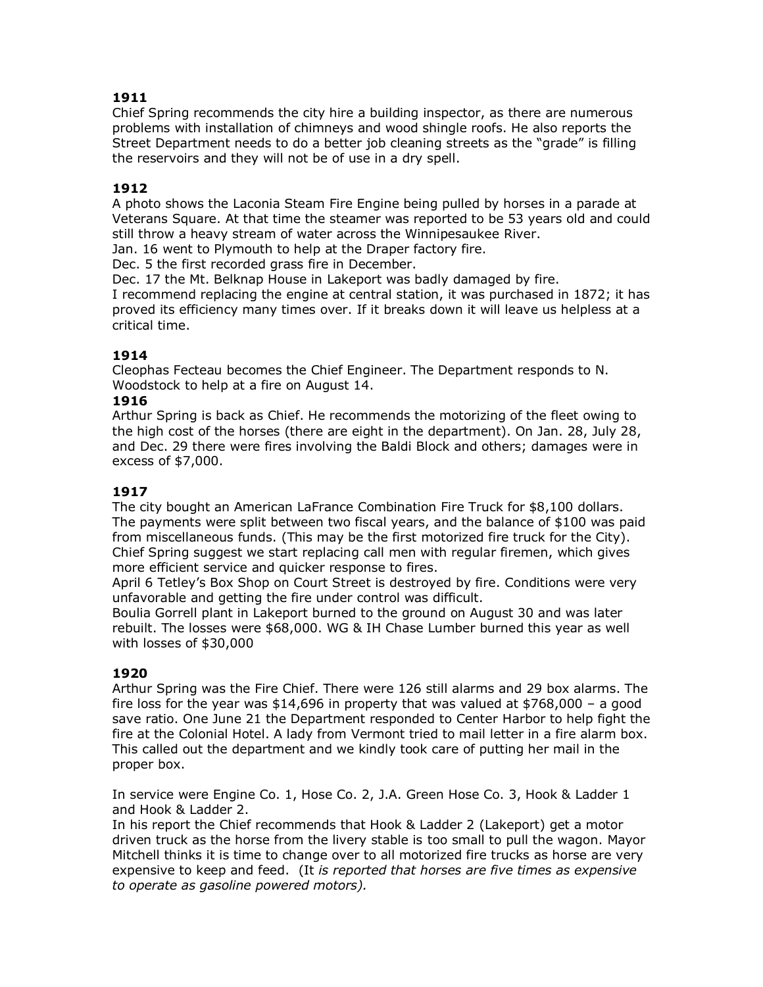Chief Spring recommends the city hire a building inspector, as there are numerous problems with installation of chimneys and wood shingle roofs. He also reports the Street Department needs to do a better job cleaning streets as the "grade" is filling the reservoirs and they will not be of use in a dry spell.

## **1912**

A photo shows the Laconia Steam Fire Engine being pulled by horses in a parade at Veterans Square. At that time the steamer was reported to be 53 years old and could still throw a heavy stream of water across the Winnipesaukee River.

Jan. 16 went to Plymouth to help at the Draper factory fire.

Dec. 5 the first recorded grass fire in December.

Dec. 17 the Mt. Belknap House in Lakeport was badly damaged by fire.

I recommend replacing the engine at central station, it was purchased in 1872; it has proved its efficiency many times over. If it breaks down it will leave us helpless at a critical time.

## **1914**

Cleophas Fecteau becomes the Chief Engineer. The Department responds to N. Woodstock to help at a fire on August 14.

## **1916**

Arthur Spring is back as Chief. He recommends the motorizing of the fleet owing to the high cost of the horses (there are eight in the department). On Jan. 28, July 28, and Dec. 29 there were fires involving the Baldi Block and others; damages were in excess of \$7,000.

## **1917**

The city bought an American LaFrance Combination Fire Truck for \$8,100 dollars. The payments were split between two fiscal years, and the balance of \$100 was paid from miscellaneous funds. (This may be the first motorized fire truck for the City). Chief Spring suggest we start replacing call men with regular firemen, which gives more efficient service and quicker response to fires.

April 6 Tetley's Box Shop on Court Street is destroyed by fire. Conditions were very unfavorable and getting the fire under control was difficult.

Boulia Gorrell plant in Lakeport burned to the ground on August 30 and was later rebuilt. The losses were \$68,000. WG & IH Chase Lumber burned this year as well with losses of \$30,000

## **1920**

Arthur Spring was the Fire Chief. There were 126 still alarms and 29 box alarms. The fire loss for the year was  $$14,696$  in property that was valued at  $$768,000$  – a good save ratio. One June 21 the Department responded to Center Harbor to help fight the fire at the Colonial Hotel. A lady from Vermont tried to mail letter in a fire alarm box. This called out the department and we kindly took care of putting her mail in the proper box.

In service were Engine Co. 1, Hose Co. 2, J.A. Green Hose Co. 3, Hook & Ladder 1 and Hook & Ladder 2.

In his report the Chief recommends that Hook & Ladder 2 (Lakeport) get a motor driven truck as the horse from the livery stable is too small to pull the wagon. Mayor Mitchell thinks it is time to change over to all motorized fire trucks as horse are very expensive to keep and feed. (It *is reported that horses are five times as expensive to operate as gasoline powered motors).*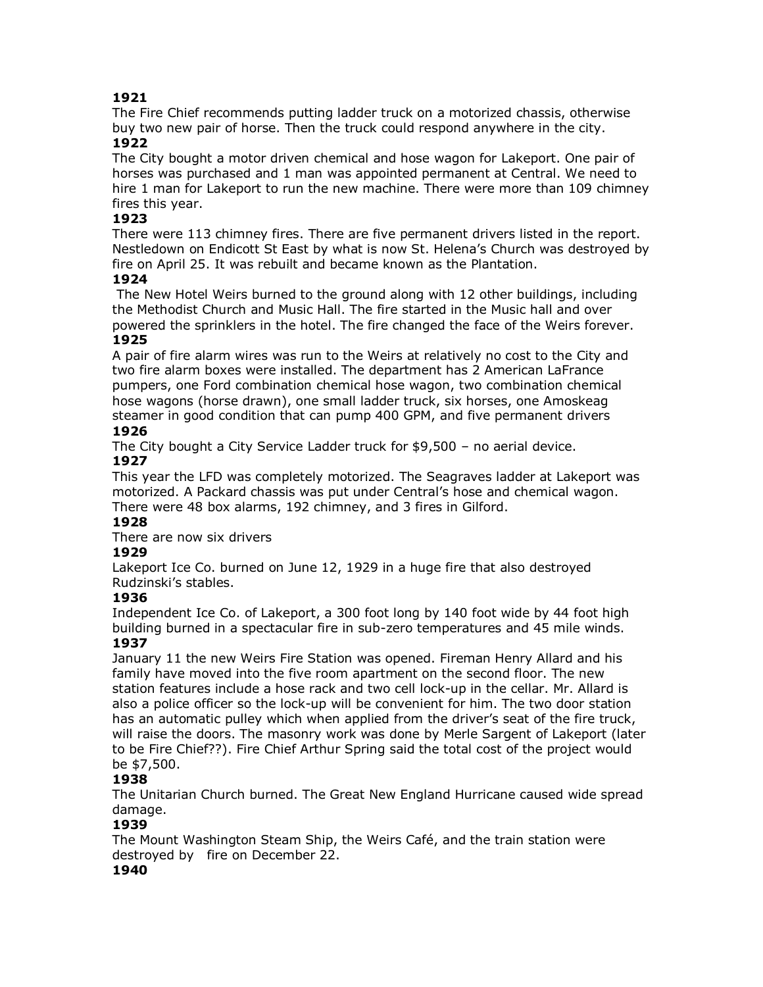The Fire Chief recommends putting ladder truck on a motorized chassis, otherwise buy two new pair of horse. Then the truck could respond anywhere in the city. **1922**

The City bought a motor driven chemical and hose wagon for Lakeport. One pair of horses was purchased and 1 man was appointed permanent at Central. We need to hire 1 man for Lakeport to run the new machine. There were more than 109 chimney fires this year.

## **1923**

There were 113 chimney fires. There are five permanent drivers listed in the report. Nestledown on Endicott St East by what is now St. Helena's Church was destroyed by fire on April 25. It was rebuilt and became known as the Plantation.

## **1924**

The New Hotel Weirs burned to the ground along with 12 other buildings, including the Methodist Church and Music Hall. The fire started in the Music hall and over powered the sprinklers in the hotel. The fire changed the face of the Weirs forever.

## **1925**

A pair of fire alarm wires was run to the Weirs at relatively no cost to the City and two fire alarm boxes were installed. The department has 2 American LaFrance pumpers, one Ford combination chemical hose wagon, two combination chemical hose wagons (horse drawn), one small ladder truck, six horses, one Amoskeag steamer in good condition that can pump 400 GPM, and five permanent drivers

## **1926**

The City bought a City Service Ladder truck for \$9,500 – no aerial device.

# **1927**

This year the LFD was completely motorized. The Seagraves ladder at Lakeport was motorized. A Packard chassis was put under Central's hose and chemical wagon. There were 48 box alarms, 192 chimney, and 3 fires in Gilford.

## **1928**

There are now six drivers

## **1929**

Lakeport Ice Co. burned on June 12, 1929 in a huge fire that also destroyed Rudzinski's stables.

## **1936**

Independent Ice Co. of Lakeport, a 300 foot long by 140 foot wide by 44 foot high building burned in a spectacular fire in sub-zero temperatures and 45 mile winds. **1937**

January 11 the new Weirs Fire Station was opened. Fireman Henry Allard and his family have moved into the five room apartment on the second floor. The new station features include a hose rack and two cell lock-up in the cellar. Mr. Allard is also a police officer so the lock-up will be convenient for him. The two door station has an automatic pulley which when applied from the driver's seat of the fire truck, will raise the doors. The masonry work was done by Merle Sargent of Lakeport (later to be Fire Chief??). Fire Chief Arthur Spring said the total cost of the project would be \$7,500.

## **1938**

The Unitarian Church burned. The Great New England Hurricane caused wide spread damage.

## **1939**

The Mount Washington Steam Ship, the Weirs Café, and the train station were destroyed by fire on December 22.

## **1940**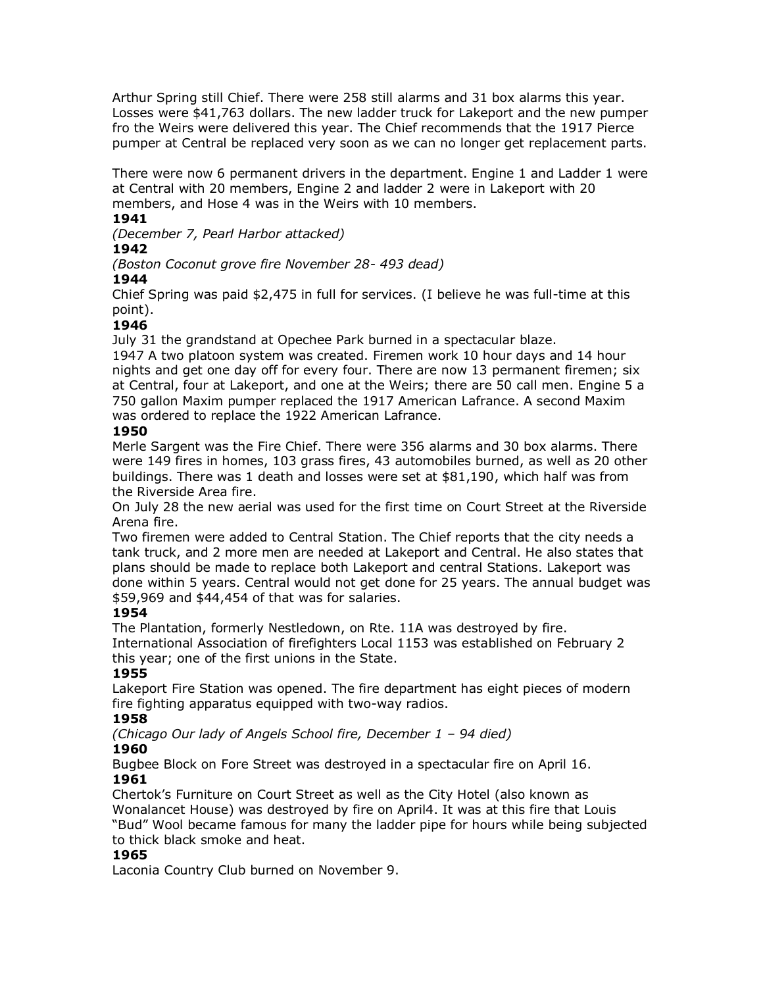Arthur Spring still Chief. There were 258 still alarms and 31 box alarms this year. Losses were \$41,763 dollars. The new ladder truck for Lakeport and the new pumper fro the Weirs were delivered this year. The Chief recommends that the 1917 Pierce pumper at Central be replaced very soon as we can no longer get replacement parts.

There were now 6 permanent drivers in the department. Engine 1 and Ladder 1 were at Central with 20 members, Engine 2 and ladder 2 were in Lakeport with 20 members, and Hose 4 was in the Weirs with 10 members.

## **1941**

*(December 7, Pearl Harbor attacked)*

# **1942**

*(Boston Coconut grove fire November 28- 493 dead)*

## **1944**

Chief Spring was paid \$2,475 in full for services. (I believe he was full-time at this point).

## **1946**

July 31 the grandstand at Opechee Park burned in a spectacular blaze.

1947 A two platoon system was created. Firemen work 10 hour days and 14 hour nights and get one day off for every four. There are now 13 permanent firemen; six at Central, four at Lakeport, and one at the Weirs; there are 50 call men. Engine 5 a 750 gallon Maxim pumper replaced the 1917 American Lafrance. A second Maxim was ordered to replace the 1922 American Lafrance.

## **1950**

Merle Sargent was the Fire Chief. There were 356 alarms and 30 box alarms. There were 149 fires in homes, 103 grass fires, 43 automobiles burned, as well as 20 other buildings. There was 1 death and losses were set at \$81,190, which half was from the Riverside Area fire.

On July 28 the new aerial was used for the first time on Court Street at the Riverside Arena fire.

Two firemen were added to Central Station. The Chief reports that the city needs a tank truck, and 2 more men are needed at Lakeport and Central. He also states that plans should be made to replace both Lakeport and central Stations. Lakeport was done within 5 years. Central would not get done for 25 years. The annual budget was \$59,969 and \$44,454 of that was for salaries.

## **1954**

The Plantation, formerly Nestledown, on Rte. 11A was destroyed by fire. International Association of firefighters Local 1153 was established on February 2 this year; one of the first unions in the State.

## **1955**

Lakeport Fire Station was opened. The fire department has eight pieces of modern fire fighting apparatus equipped with two-way radios.

## **1958**

*(Chicago Our lady of Angels School fire, December 1 – 94 died)*

## **1960**

Bugbee Block on Fore Street was destroyed in a spectacular fire on April 16. **1961**

Chertok's Furniture on Court Street as well as the City Hotel (also known as Wonalancet House) was destroyed by fire on April4. It was at this fire that Louis "Bud" Wool became famous for many the ladder pipe for hours while being subjected to thick black smoke and heat.

## **1965**

Laconia Country Club burned on November 9.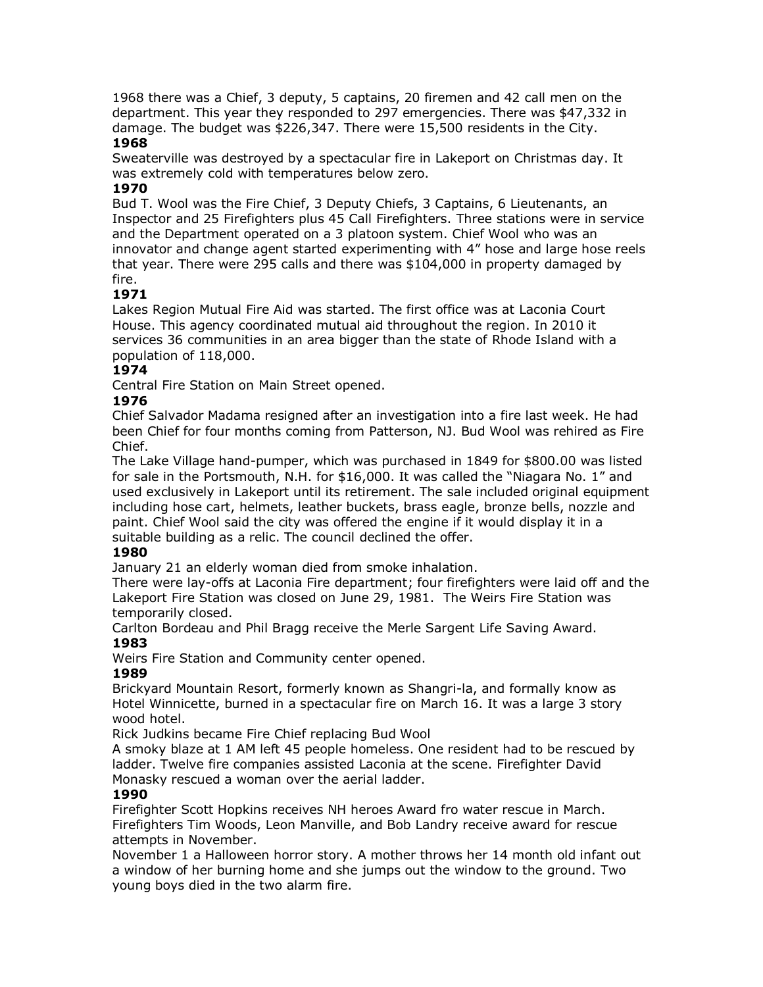1968 there was a Chief, 3 deputy, 5 captains, 20 firemen and 42 call men on the department. This year they responded to 297 emergencies. There was \$47,332 in damage. The budget was \$226,347. There were 15,500 residents in the City. **1968**

## Sweaterville was destroyed by a spectacular fire in Lakeport on Christmas day. It was extremely cold with temperatures below zero.

## **1970**

Bud T. Wool was the Fire Chief, 3 Deputy Chiefs, 3 Captains, 6 Lieutenants, an Inspector and 25 Firefighters plus 45 Call Firefighters. Three stations were in service and the Department operated on a 3 platoon system. Chief Wool who was an innovator and change agent started experimenting with 4" hose and large hose reels that year. There were 295 calls and there was \$104,000 in property damaged by fire.

## **1971**

Lakes Region Mutual Fire Aid was started. The first office was at Laconia Court House. This agency coordinated mutual aid throughout the region. In 2010 it services 36 communities in an area bigger than the state of Rhode Island with a population of 118,000.

## **1974**

Central Fire Station on Main Street opened.

## **1976**

Chief Salvador Madama resigned after an investigation into a fire last week. He had been Chief for four months coming from Patterson, NJ. Bud Wool was rehired as Fire Chief.

The Lake Village hand-pumper, which was purchased in 1849 for \$800.00 was listed for sale in the Portsmouth, N.H. for \$16,000. It was called the "Niagara No. 1" and used exclusively in Lakeport until its retirement. The sale included original equipment including hose cart, helmets, leather buckets, brass eagle, bronze bells, nozzle and paint. Chief Wool said the city was offered the engine if it would display it in a suitable building as a relic. The council declined the offer.

## **1980**

January 21 an elderly woman died from smoke inhalation.

There were lay-offs at Laconia Fire department; four firefighters were laid off and the Lakeport Fire Station was closed on June 29, 1981. The Weirs Fire Station was temporarily closed.

Carlton Bordeau and Phil Bragg receive the Merle Sargent Life Saving Award. **1983**

Weirs Fire Station and Community center opened.

## **1989**

Brickyard Mountain Resort, formerly known as Shangri-la, and formally know as Hotel Winnicette, burned in a spectacular fire on March 16. It was a large 3 story wood hotel.

Rick Judkins became Fire Chief replacing Bud Wool

A smoky blaze at 1 AM left 45 people homeless. One resident had to be rescued by ladder. Twelve fire companies assisted Laconia at the scene. Firefighter David Monasky rescued a woman over the aerial ladder.

## **1990**

Firefighter Scott Hopkins receives NH heroes Award fro water rescue in March. Firefighters Tim Woods, Leon Manville, and Bob Landry receive award for rescue attempts in November.

November 1 a Halloween horror story. A mother throws her 14 month old infant out a window of her burning home and she jumps out the window to the ground. Two young boys died in the two alarm fire.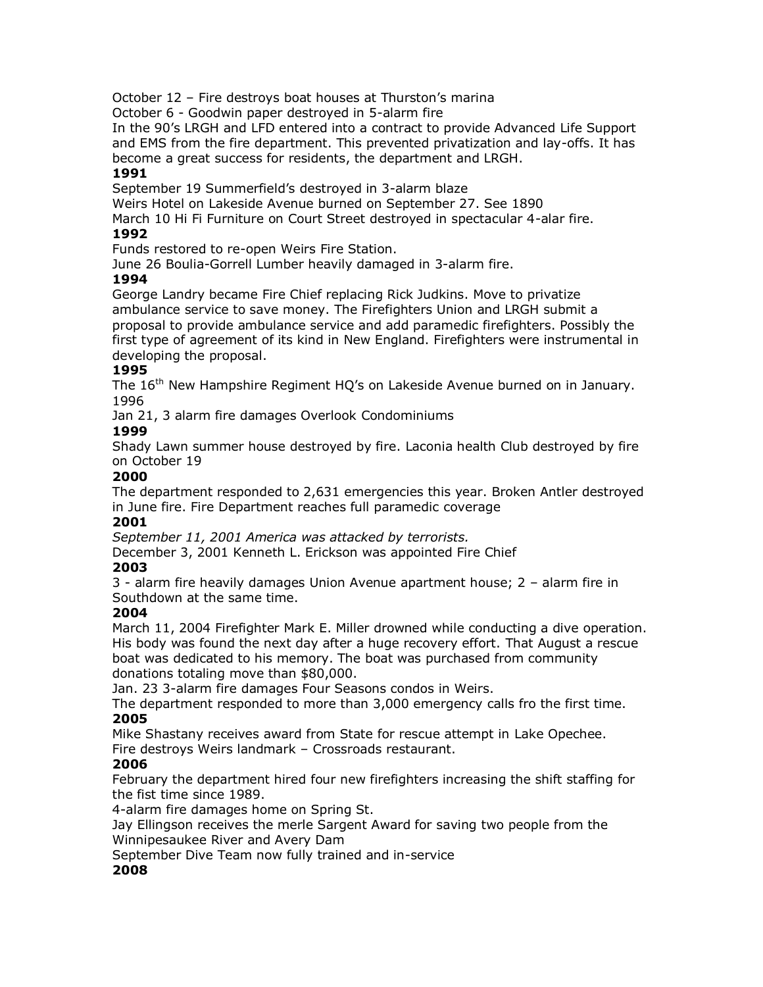October 12 – Fire destroys boat houses at Thurston's marina

October 6 - Goodwin paper destroyed in 5-alarm fire

In the 90's LRGH and LFD entered into a contract to provide Advanced Life Support and EMS from the fire department. This prevented privatization and lay-offs. It has become a great success for residents, the department and LRGH.

## **1991**

September 19 Summerfield's destroyed in 3-alarm blaze

Weirs Hotel on Lakeside Avenue burned on September 27. See 1890

March 10 Hi Fi Furniture on Court Street destroyed in spectacular 4-alar fire.

## **1992**

Funds restored to re-open Weirs Fire Station.

June 26 Boulia-Gorrell Lumber heavily damaged in 3-alarm fire.

## **1994**

George Landry became Fire Chief replacing Rick Judkins. Move to privatize ambulance service to save money. The Firefighters Union and LRGH submit a proposal to provide ambulance service and add paramedic firefighters. Possibly the first type of agreement of its kind in New England. Firefighters were instrumental in developing the proposal.

## **1995**

The 16<sup>th</sup> New Hampshire Regiment HQ's on Lakeside Avenue burned on in January. 1996

Jan 21, 3 alarm fire damages Overlook Condominiums

## **1999**

Shady Lawn summer house destroyed by fire. Laconia health Club destroyed by fire on October 19

## **2000**

The department responded to 2,631 emergencies this year. Broken Antler destroyed in June fire. Fire Department reaches full paramedic coverage

## **2001**

*September 11, 2001 America was attacked by terrorists.* 

December 3, 2001 Kenneth L. Erickson was appointed Fire Chief

## **2003**

3 - alarm fire heavily damages Union Avenue apartment house; 2 – alarm fire in Southdown at the same time.

## **2004**

March 11, 2004 Firefighter Mark E. Miller drowned while conducting a dive operation. His body was found the next day after a huge recovery effort. That August a rescue boat was dedicated to his memory. The boat was purchased from community donations totaling move than \$80,000.

Jan. 23 3-alarm fire damages Four Seasons condos in Weirs.

The department responded to more than 3,000 emergency calls fro the first time. **2005**

Mike Shastany receives award from State for rescue attempt in Lake Opechee. Fire destroys Weirs landmark – Crossroads restaurant.

## **2006**

February the department hired four new firefighters increasing the shift staffing for the fist time since 1989.

4-alarm fire damages home on Spring St.

Jay Ellingson receives the merle Sargent Award for saving two people from the Winnipesaukee River and Avery Dam

September Dive Team now fully trained and in-service

## **2008**